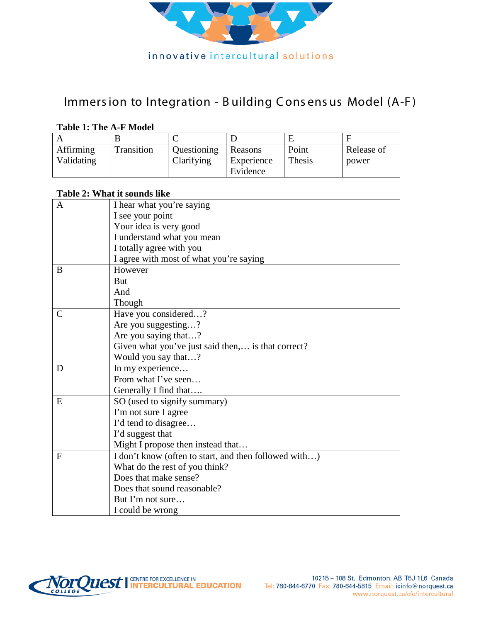

### Immers ion to Integration - B uilding C ons ens us Model (A-F )

### **Table 1: The A-F Model**

| Affirming<br>Validating | Transition | Questioning<br>Clarifying | <b>Reasons</b><br>Experience | Point<br>Thesis | Release of<br>power |
|-------------------------|------------|---------------------------|------------------------------|-----------------|---------------------|
|                         |            |                           | Evidence                     |                 |                     |

#### **Table 2: What it sounds like**

| A             | I hear what you're saying                             |  |  |  |
|---------------|-------------------------------------------------------|--|--|--|
|               | I see your point                                      |  |  |  |
|               | Your idea is very good                                |  |  |  |
|               | I understand what you mean                            |  |  |  |
|               | I totally agree with you                              |  |  |  |
|               | I agree with most of what you're saying               |  |  |  |
| B             | However                                               |  |  |  |
|               | But                                                   |  |  |  |
|               | And                                                   |  |  |  |
|               | Though                                                |  |  |  |
| $\mathcal{C}$ | Have you considered?                                  |  |  |  |
|               | Are you suggesting?                                   |  |  |  |
|               | Are you saying that?                                  |  |  |  |
|               | Given what you've just said then, is that correct?    |  |  |  |
|               | Would you say that?                                   |  |  |  |
| D             | In my experience                                      |  |  |  |
|               | From what I've seen                                   |  |  |  |
|               | Generally I find that                                 |  |  |  |
| E             | SO (used to signify summary)                          |  |  |  |
|               | I'm not sure I agree                                  |  |  |  |
|               | I'd tend to disagree                                  |  |  |  |
|               | I'd suggest that                                      |  |  |  |
|               | Might I propose then instead that                     |  |  |  |
| F             | I don't know (often to start, and then followed with) |  |  |  |
|               | What do the rest of you think?                        |  |  |  |
|               | Does that make sense?                                 |  |  |  |
|               | Does that sound reasonable?                           |  |  |  |
|               | But I'm not sure                                      |  |  |  |
|               | I could be wrong                                      |  |  |  |

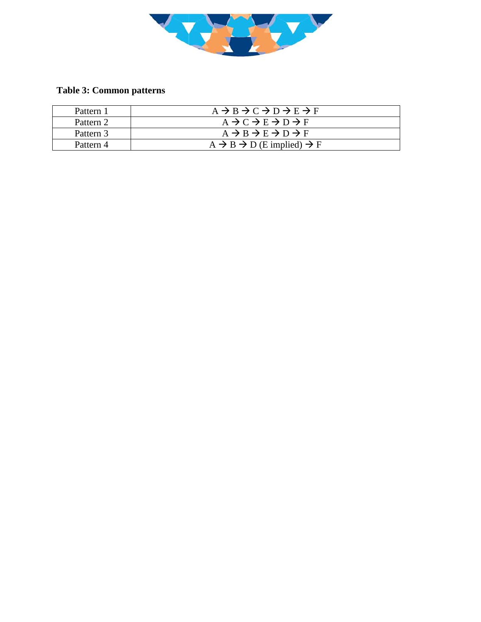

### **Table 3: Common patterns**

| Pattern 1 | $A \rightarrow B \rightarrow C \rightarrow D \rightarrow E \rightarrow F$ |
|-----------|---------------------------------------------------------------------------|
| Pattern 2 | $A \rightarrow C \rightarrow E \rightarrow D \rightarrow F$               |
| Pattern 3 | $A \rightarrow B \rightarrow E \rightarrow D \rightarrow F$               |
| Pattern 4 | $A \rightarrow B \rightarrow D$ (E implied) $\rightarrow F$               |